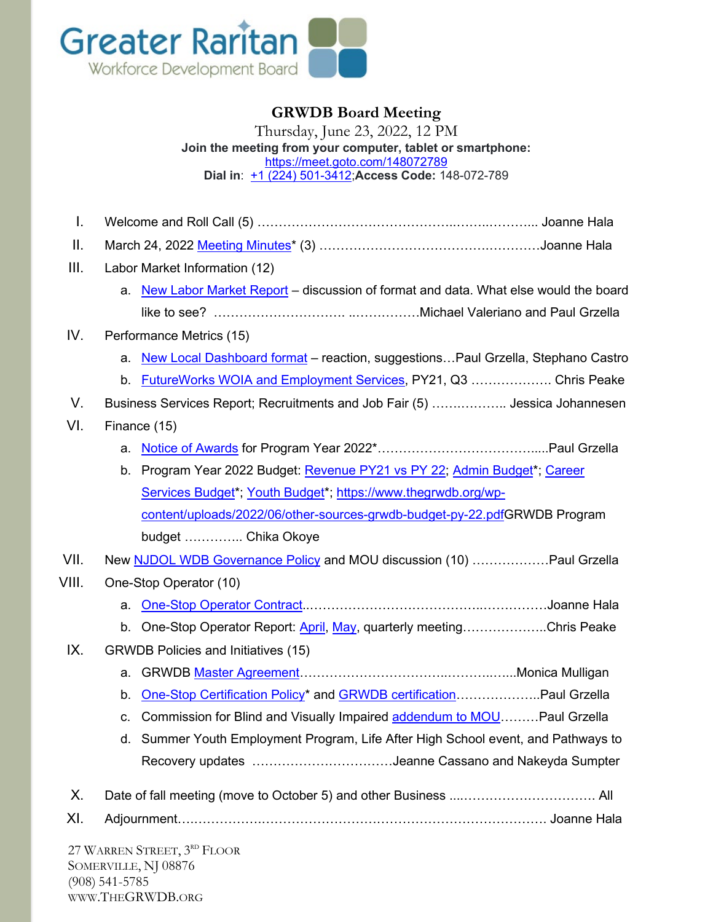

## **GRWDB Board Meeting**

Thursday, June 23, 2022, 12 PM **Join the meeting from your computer, tablet or smartphone:** <https://meet.goto.com/148072789> **Dial in**: [+1 \(224\) 501-3412;](tel:+12245013412,,148072789)**Access Code:** 148-072-789

I. Welcome and Roll Call (5) ………………………………………..……..………... Joanne Hala II. March 24, 2022 [Meeting Minutes\\*](https://www.thegrwdb.org/wp-content/uploads/2022/06/grwdb-board-meeting-minutes-03242022.pdf) (3) ………………………………….…………Joanne Hala III. Labor Market Information (12) a. [New Labor Market Report](https://www.thegrwdb.org/wp-content/uploads/2022/06/job_posting_analytics_6-13-22.pdf) – discussion of format and data. What else would the board like to see? …………………………. ..……………Michael Valeriano and Paul Grzella IV. Performance Metrics (15) a. [New Local Dashboard format](https://app.powerbi.com/view?r=eyJrIjoiMGQ4NWYyZjYtMGQyYy00YjQ1LTkxODEtYTdjMDFiMDhkNjhhIiwidCI6IjM0YmY2ZTUwLTM5NjAtNDM3MC05ZGYxLTQyODc2ZTM1OTA5OSIsImMiOjJ9&embedImagePlaceholder=true&pageName=ReportSection68071e7f421d1864808d) – reaction, suggestions... Paul Grzella, Stephano Castro b. FutureWorks WOIA and [Employment Services,](https://www.thegrwdb.org/wp-content/uploads/2022/06/futureworks.pdf) PY21, Q3 ………………. Chris Peake V. Business Services Report; Recruitments and Job Fair (5) …….……….. Jessica Johannesen VI. Finance (15) a. [Notice of Awards](https://www.thegrwdb.org/wp-content/uploads/2022/06/py2022_notice-of-awards.pdf) for Program Year 2022\*……………………………….....Paul Grzella b. Program Year 2022 Budget: [Revenue PY21 vs PY 22;](https://www.thegrwdb.org/wp-content/uploads/2022/06/revenue-worksheet-py21-vs-py22.pdf) [Admin Budget\\*](https://www.thegrwdb.org/wp-content/uploads/2022/06/draft-admin-grwdb-budget-py-22.pdf); [Career](https://www.thegrwdb.org/wp-content/uploads/2022/06/draft-grwdb-career-program-budget-py-22.pdf)  [Services Budget\\*](https://www.thegrwdb.org/wp-content/uploads/2022/06/draft-grwdb-career-program-budget-py-22.pdf); [Youth Budget\\*](https://www.thegrwdb.org/wp-content/uploads/2022/06/draft-grwdb-youth-budget-py-22.pdf); [https://www.thegrwdb.org/wp](https://www.thegrwdb.org/wp-content/uploads/2022/06/other-sources-grwdb-budget-py-22.pdf)[content/uploads/2022/06/other-sources-grwdb-budget-py-22.pdfG](https://www.thegrwdb.org/wp-content/uploads/2022/06/other-sources-grwdb-budget-py-22.pdf)RWDB Program budget ………….. Chika Okoye VII. New [NJDOL WDB Governance](https://www.nj.gov/labor/wioa/forms_pdfs/WD-PY21-6Local%20GovernancePolicy%20(Final).pdf) Policy and MOU discussion (10) ………………Paul Grzella VIII. One-Stop Operator (10) a. [One-Stop Operator Contract.](https://www.thegrwdb.org/wp-content/uploads/2022/06/oso-operator-response-and-review.reduced-size.pdf).…………………………………..……………Joanne Hala b. One-Stop Operator Report: [April,](https://www.thegrwdb.org/wp-content/uploads/2022/05/4.22-one-stop-operators-report.pdf) [May,](https://www.thegrwdb.org/wp-content/uploads/2022/06/5.22-one-stop-operators-report.pdf) quarterly meeting…………………Chris Peake IX. GRWDB Policies and Initiatives (15) a. GRWDB [Master Agreement…](https://www.thegrwdb.org/wp-content/uploads/2022/06/greater-raritan-master-agreement-package-2022-2023.pdf)…………………………..………..…...Monica Mulligan b. [One-Stop Certification Policy\\*](https://www.thegrwdb.org/wp-content/uploads/2022/06/one-stop-certification-policy.pdf) and [GRWDB certification…](https://www.thegrwdb.org/wp-content/uploads/2022/06/grwdb-one-stop-certification-documentation.pdf)……………..Paul Grzella c. Commission for Blind and Visually Impaired addendum to MOU ........Paul Grzella d. Summer Youth Employment Program, Life After High School event, and Pathways to Recovery updates ……………………………Jeanne Cassano and Nakeyda Sumpter X. Date of fall meeting (move to October 5) and other Business ....…………………………. All XI. Adjournment….…………….…………………………………………………………. Joanne Hala